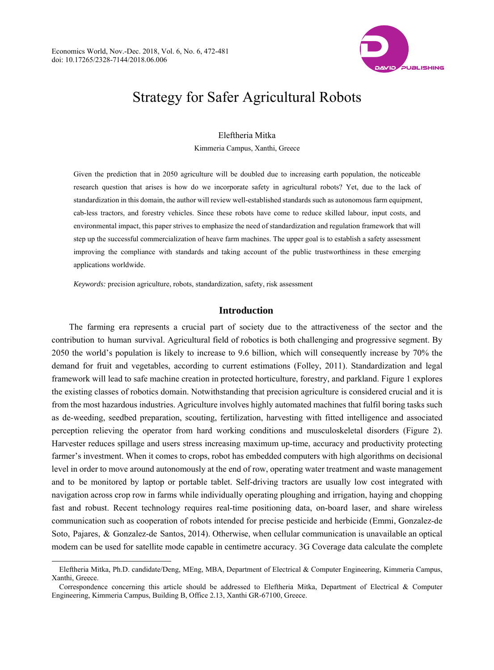$\overline{a}$ 



# Strategy for Safer Agricultural Robots

Eleftheria Mitka

Kimmeria Campus, Xanthi, Greece

Given the prediction that in 2050 agriculture will be doubled due to increasing earth population, the noticeable research question that arises is how do we incorporate safety in agricultural robots? Yet, due to the lack of standardization in this domain, the author will review well-established standards such as autonomous farm equipment, cab-less tractors, and forestry vehicles. Since these robots have come to reduce skilled labour, input costs, and environmental impact, this paper strives to emphasize the need of standardization and regulation framework that will step up the successful commercialization of heave farm machines. The upper goal is to establish a safety assessment improving the compliance with standards and taking account of the public trustworthiness in these emerging applications worldwide.

*Keywords:* precision agriculture, robots, standardization, safety, risk assessment

## **Introduction**

The farming era represents a crucial part of society due to the attractiveness of the sector and the contribution to human survival. Agricultural field of robotics is both challenging and progressive segment. By 2050 the world's population is likely to increase to 9.6 billion, which will consequently increase by 70% the demand for fruit and vegetables, according to current estimations (Folley, 2011). Standardization and legal framework will lead to safe machine creation in protected horticulture, forestry, and parkland. Figure 1 explores the existing classes of robotics domain. Notwithstanding that precision agriculture is considered crucial and it is from the most hazardous industries. Agriculture involves highly automated machines that fulfil boring tasks such as de-weeding, seedbed preparation, scouting, fertilization, harvesting with fitted intelligence and associated perception relieving the operator from hard working conditions and musculoskeletal disorders (Figure 2). Harvester reduces spillage and users stress increasing maximum up-time, accuracy and productivity protecting farmer's investment. When it comes to crops, robot has embedded computers with high algorithms on decisional level in order to move around autonomously at the end of row, operating water treatment and waste management and to be monitored by laptop or portable tablet. Self-driving tractors are usually low cost integrated with navigation across crop row in farms while individually operating ploughing and irrigation, haying and chopping fast and robust. Recent technology requires real-time positioning data, on-board laser, and share wireless communication such as cooperation of robots intended for precise pesticide and herbicide (Emmi, Gonzalez-de Soto, Pajares, & Gonzalez-de Santos, 2014). Otherwise, when cellular communication is unavailable an optical modem can be used for satellite mode capable in centimetre accuracy. 3G Coverage data calculate the complete

Eleftheria Mitka, Ph.D. candidate/Deng, MEng, MBA, Department of Electrical & Computer Engineering, Kimmeria Campus, Xanthi, Greece.

Correspondence concerning this article should be addressed to Eleftheria Mitka, Department of Electrical & Computer Engineering, Kimmeria Campus, Building Β, Office 2.13, Xanthi GR-67100, Greece.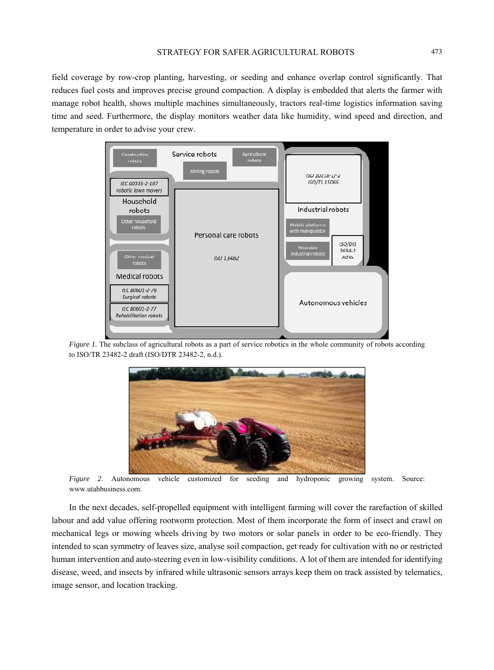field coverage by row-crop planting, harvesting, or seeding and enhance overlap control significantly. That reduces fuel costs and improves precise ground compaction. A display is embedded that alerts the farmer with manage robot health, shows multiple machines simultaneously, tractors real-time logistics information saving time and seed. Furthermore, the display monitors weather data like humidity, wind speed and direction, and temperature in order to advise your crew.



*Figure 1.* The subclass of agricultural robots as a part of service robotics in the whole community of robots according to ISO/TR 23482-2 draft (ISO/DTR 23482-2, n.d.).



*Figure 2*. Autonomous vehicle customized for seeding and hydroponic growing system. Source: www.utahbusiness.com.

In the next decades, self-propelled equipment with intelligent farming will cover the rarefaction of skilled labour and add value offering rootworm protection. Most of them incorporate the form of insect and crawl on mechanical legs or mowing wheels driving by two motors or solar panels in order to be eco-friendly. They intended to scan symmetry of leaves size, analyse soil compaction, get ready for cultivation with no or restricted human intervention and auto-steering even in low-visibility conditions. A lot of them are intended for identifying disease, weed, and insects by infrared while ultrasonic sensors arrays keep them on track assisted by telematics, image sensor, and location tracking.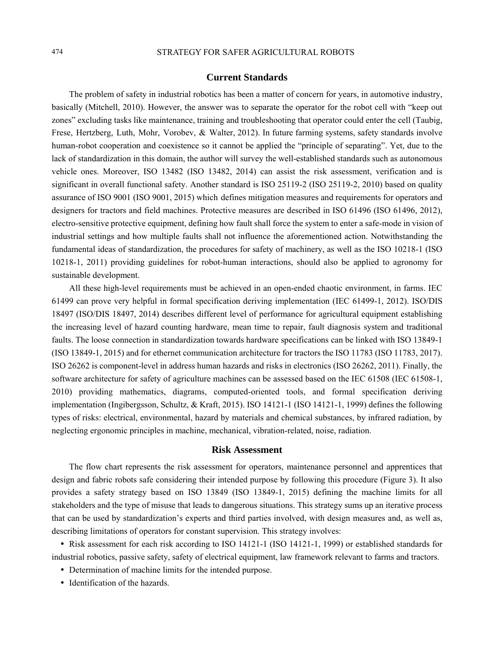## 474 STRATEGY FOR SAFER AGRICULTURAL ROBOTS

## **Current Standards**

The problem of safety in industrial robotics has been a matter of concern for years, in automotive industry, basically (Mitchell, 2010). However, the answer was to separate the operator for the robot cell with "keep out zones" excluding tasks like maintenance, training and troubleshooting that operator could enter the cell (Taubig, Frese, Hertzberg, Luth, Mohr, Vorobev, & Walter, 2012). In future farming systems, safety standards involve human-robot cooperation and coexistence so it cannot be applied the "principle of separating". Yet, due to the lack of standardization in this domain, the author will survey the well-established standards such as autonomous vehicle ones. Moreover, ISO 13482 (ISO 13482, 2014) can assist the risk assessment, verification and is significant in overall functional safety. Another standard is ISO 25119-2 (ISO 25119-2, 2010) based on quality assurance of ISO 9001 (ISO 9001, 2015) which defines mitigation measures and requirements for operators and designers for tractors and field machines. Protective measures are described in ISO 61496 (ISO 61496, 2012), electro-sensitive protective equipment, defining how fault shall force the system to enter a safe-mode in vision of industrial settings and how multiple faults shall not influence the aforementioned action. Notwithstanding the fundamental ideas of standardization, the procedures for safety of machinery, as well as the ISO 10218-1 (ISO 10218-1, 2011) providing guidelines for robot-human interactions, should also be applied to agronomy for sustainable development.

All these high-level requirements must be achieved in an open-ended chaotic environment, in farms. IEC 61499 can prove very helpful in formal specification deriving implementation (IEC 61499-1, 2012). ISO/DIS 18497 (ISO/DIS 18497, 2014) describes different level of performance for agricultural equipment establishing the increasing level of hazard counting hardware, mean time to repair, fault diagnosis system and traditional faults. The loose connection in standardization towards hardware specifications can be linked with ISO 13849-1 (ISO 13849-1, 2015) and for ethernet communication architecture for tractors the ISO 11783 (ISO 11783, 2017). ISO 26262 is component-level in address human hazards and risks in electronics (ISO 26262, 2011). Finally, the software architecture for safety of agriculture machines can be assessed based on the IEC 61508 (IEC 61508-1, 2010) providing mathematics, diagrams, computed-oriented tools, and formal specification deriving implementation (Ingibergsson, Schultz, & Kraft, 2015). ISO 14121-1 (ISO 14121-1, 1999) defines the following types of risks: electrical, environmental, hazard by materials and chemical substances, by infrared radiation, by neglecting ergonomic principles in machine, mechanical, vibration-related, noise, radiation.

## **Risk Assessment**

The flow chart represents the risk assessment for operators, maintenance personnel and apprentices that design and fabric robots safe considering their intended purpose by following this procedure (Figure 3). It also provides a safety strategy based on ISO 13849 (ISO 13849-1, 2015) defining the machine limits for all stakeholders and the type of misuse that leads to dangerous situations. This strategy sums up an iterative process that can be used by standardization's experts and third parties involved, with design measures and, as well as, describing limitations of operators for constant supervision. This strategy involves:

• Risk assessment for each risk according to ISO 14121-1 (ISO 14121-1, 1999) or established standards for industrial robotics, passive safety, safety of electrical equipment, law framework relevant to farms and tractors.

- Determination of machine limits for the intended purpose.
- Identification of the hazards.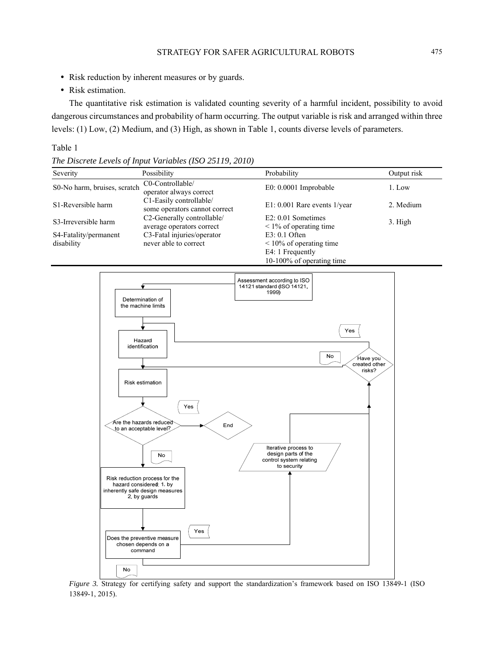- Risk reduction by inherent measures or by guards.
- Risk estimation.

The quantitative risk estimation is validated counting severity of a harmful incident, possibility to avoid dangerous circumstances and probability of harm occurring. The output variable is risk and arranged within three levels: (1) Low, (2) Medium, and (3) High, as shown in Table 1, counts diverse levels of parameters.

## Table 1

*The Discrete Levels of Input Variables (ISO 25119, 2010)*

| Severity                            | Possibility                                              | Probability                                                                                          | Output risk |
|-------------------------------------|----------------------------------------------------------|------------------------------------------------------------------------------------------------------|-------------|
| S0-No harm, bruises, scratch        | C0-Controllable/<br>operator always correct              | $E0: 0.0001$ Improbable                                                                              | 1. Low      |
| S <sub>1</sub> -Reversible harm     | C1-Easily controllable/<br>some operators cannot correct | $E1: 0.001$ Rare events $1$ /year                                                                    | 2. Medium   |
| S3-Irreversible harm                | C2-Generally controllable/<br>average operators correct  | $E2: 0.01$ Sometimes<br>$\leq$ 1% of operating time                                                  | 3. High     |
| S4-Fatality/permanent<br>disability | C3-Fatal injuries/operator<br>never able to correct      | $E3: 0.1$ Often<br>$\leq 10\%$ of operating time<br>E4: 1 Frequently<br>$10-100\%$ of operating time |             |



*Figure 3.* Strategy for certifying safety and support the standardization's framework based on ISO 13849-1 (ISO 13849-1, 2015).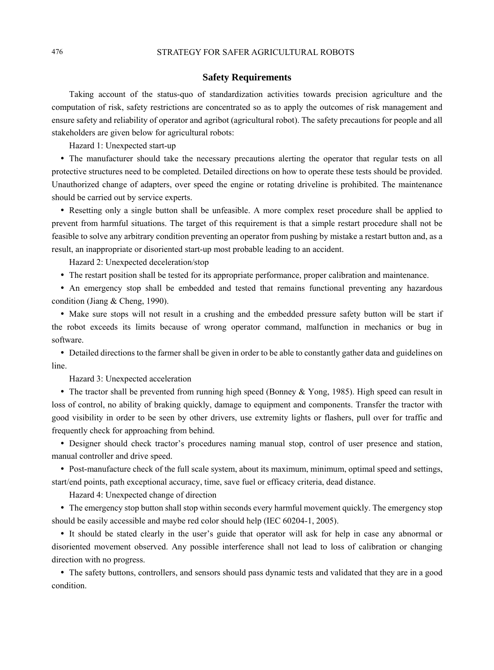## **Safety Requirements**

Taking account of the status-quo of standardization activities towards precision agriculture and the computation of risk, safety restrictions are concentrated so as to apply the outcomes of risk management and ensure safety and reliability of operator and agribot (agricultural robot). The safety precautions for people and all stakeholders are given below for agricultural robots:

Hazard 1: Unexpected start-up

• The manufacturer should take the necessary precautions alerting the operator that regular tests on all protective structures need to be completed. Detailed directions on how to operate these tests should be provided. Unauthorized change of adapters, over speed the engine or rotating driveline is prohibited. The maintenance should be carried out by service experts.

y Resetting only a single button shall be unfeasible. A more complex reset procedure shall be applied to prevent from harmful situations. The target of this requirement is that a simple restart procedure shall not be feasible to solve any arbitrary condition preventing an operator from pushing by mistake a restart button and, as a result, an inappropriate or disoriented start-up most probable leading to an accident.

Hazard 2: Unexpected deceleration/stop

y The restart position shall be tested for its appropriate performance, proper calibration and maintenance.

y An emergency stop shall be embedded and tested that remains functional preventing any hazardous condition (Jiang & Cheng, 1990).

• Make sure stops will not result in a crushing and the embedded pressure safety button will be start if the robot exceeds its limits because of wrong operator command, malfunction in mechanics or bug in software.

• Detailed directions to the farmer shall be given in order to be able to constantly gather data and guidelines on line.

Hazard 3: Unexpected acceleration

• The tractor shall be prevented from running high speed (Bonney & Yong, 1985). High speed can result in loss of control, no ability of braking quickly, damage to equipment and components. Transfer the tractor with good visibility in order to be seen by other drivers, use extremity lights or flashers, pull over for traffic and frequently check for approaching from behind.

• Designer should check tractor's procedures naming manual stop, control of user presence and station, manual controller and drive speed.

• Post-manufacture check of the full scale system, about its maximum, minimum, optimal speed and settings, start/end points, path exceptional accuracy, time, save fuel or efficacy criteria, dead distance.

Hazard 4: Unexpected change of direction

• The emergency stop button shall stop within seconds every harmful movement quickly. The emergency stop should be easily accessible and maybe red color should help (IEC 60204-1, 2005).

y It should be stated clearly in the user's guide that operator will ask for help in case any abnormal or disoriented movement observed. Any possible interference shall not lead to loss of calibration or changing direction with no progress.

• The safety buttons, controllers, and sensors should pass dynamic tests and validated that they are in a good condition.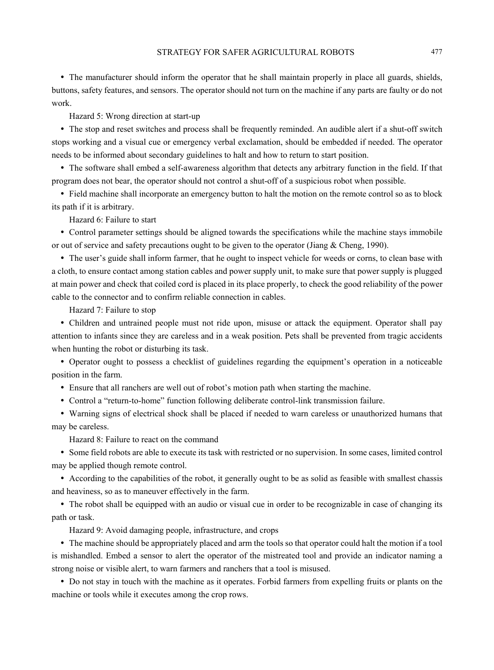• The manufacturer should inform the operator that he shall maintain properly in place all guards, shields, buttons, safety features, and sensors. The operator should not turn on the machine if any parts are faulty or do not work.

Hazard 5: Wrong direction at start-up

• The stop and reset switches and process shall be frequently reminded. An audible alert if a shut-off switch stops working and a visual cue or emergency verbal exclamation, should be embedded if needed. The operator needs to be informed about secondary guidelines to halt and how to return to start position.

• The software shall embed a self-awareness algorithm that detects any arbitrary function in the field. If that program does not bear, the operator should not control a shut-off of a suspicious robot when possible.

y Field machine shall incorporate an emergency button to halt the motion on the remote control so as to block its path if it is arbitrary.

Hazard 6: Failure to start

• Control parameter settings should be aligned towards the specifications while the machine stays immobile or out of service and safety precautions ought to be given to the operator (Jiang & Cheng, 1990).

• The user's guide shall inform farmer, that he ought to inspect vehicle for weeds or corns, to clean base with a cloth, to ensure contact among station cables and power supply unit, to make sure that power supply is plugged at main power and check that coiled cord is placed in its place properly, to check the good reliability of the power cable to the connector and to confirm reliable connection in cables.

Hazard 7: Failure to stop

• Children and untrained people must not ride upon, misuse or attack the equipment. Operator shall pay attention to infants since they are careless and in a weak position. Pets shall be prevented from tragic accidents when hunting the robot or disturbing its task.

• Operator ought to possess a checklist of guidelines regarding the equipment's operation in a noticeable position in the farm.

y Ensure that all ranchers are well out of robot's motion path when starting the machine.

• Control a "return-to-home" function following deliberate control-link transmission failure.

• Warning signs of electrical shock shall be placed if needed to warn careless or unauthorized humans that may be careless.

Hazard 8: Failure to react on the command

y Some field robots are able to execute its task with restricted or no supervision. In some cases, limited control may be applied though remote control.

y According to the capabilities of the robot, it generally ought to be as solid as feasible with smallest chassis and heaviness, so as to maneuver effectively in the farm.

• The robot shall be equipped with an audio or visual cue in order to be recognizable in case of changing its path or task.

Hazard 9: Avoid damaging people, infrastructure, and crops

• The machine should be appropriately placed and arm the tools so that operator could halt the motion if a tool is mishandled. Embed a sensor to alert the operator of the mistreated tool and provide an indicator naming a strong noise or visible alert, to warn farmers and ranchers that a tool is misused.

• Do not stay in touch with the machine as it operates. Forbid farmers from expelling fruits or plants on the machine or tools while it executes among the crop rows.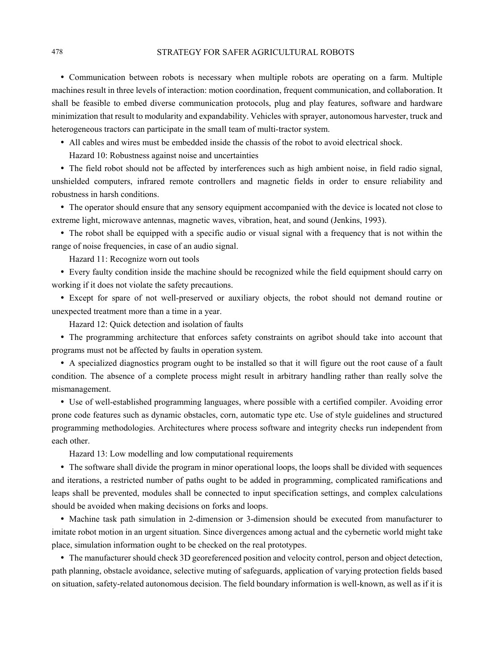• Communication between robots is necessary when multiple robots are operating on a farm. Multiple machines result in three levels of interaction: motion coordination, frequent communication, and collaboration. It shall be feasible to embed diverse communication protocols, plug and play features, software and hardware minimization that result to modularity and expandability. Vehicles with sprayer, autonomous harvester, truck and heterogeneous tractors can participate in the small team of multi-tractor system.

- All cables and wires must be embedded inside the chassis of the robot to avoid electrical shock.
	- Hazard 10: Robustness against noise and uncertainties

• The field robot should not be affected by interferences such as high ambient noise, in field radio signal, unshielded computers, infrared remote controllers and magnetic fields in order to ensure reliability and robustness in harsh conditions.

• The operator should ensure that any sensory equipment accompanied with the device is located not close to extreme light, microwave antennas, magnetic waves, vibration, heat, and sound (Jenkins, 1993).

y The robot shall be equipped with a specific audio or visual signal with a frequency that is not within the range of noise frequencies, in case of an audio signal.

Hazard 11: Recognize worn out tools

• Every faulty condition inside the machine should be recognized while the field equipment should carry on working if it does not violate the safety precautions.

• Except for spare of not well-preserved or auxiliary objects, the robot should not demand routine or unexpected treatment more than a time in a year.

Hazard 12: Quick detection and isolation of faults

• The programming architecture that enforces safety constraints on agribot should take into account that programs must not be affected by faults in operation system.

y A specialized diagnostics program ought to be installed so that it will figure out the root cause of a fault condition. The absence of a complete process might result in arbitrary handling rather than really solve the mismanagement.

• Use of well-established programming languages, where possible with a certified compiler. Avoiding error prone code features such as dynamic obstacles, corn, automatic type etc. Use of style guidelines and structured programming methodologies. Architectures where process software and integrity checks run independent from each other.

Hazard 13: Low modelling and low computational requirements

• The software shall divide the program in minor operational loops, the loops shall be divided with sequences and iterations, a restricted number of paths ought to be added in programming, complicated ramifications and leaps shall be prevented, modules shall be connected to input specification settings, and complex calculations should be avoided when making decisions on forks and loops.

y Machine task path simulation in 2-dimension or 3-dimension should be executed from manufacturer to imitate robot motion in an urgent situation. Since divergences among actual and the cybernetic world might take place, simulation information ought to be checked on the real prototypes.

y The manufacturer should check 3D georeferenced position and velocity control, person and object detection, path planning, obstacle avoidance, selective muting of safeguards, application of varying protection fields based on situation, safety-related autonomous decision. The field boundary information is well-known, as well as if it is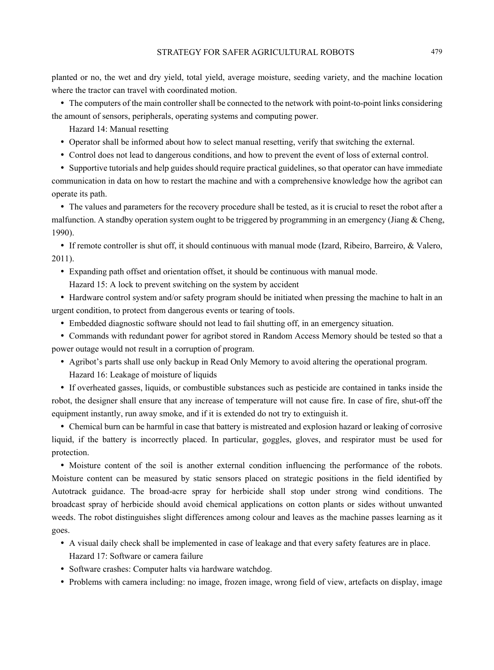planted or no, the wet and dry yield, total yield, average moisture, seeding variety, and the machine location where the tractor can travel with coordinated motion.

• The computers of the main controller shall be connected to the network with point-to-point links considering the amount of sensors, peripherals, operating systems and computing power.

Hazard 14: Manual resetting

- Operator shall be informed about how to select manual resetting, verify that switching the external.
- y Control does not lead to dangerous conditions, and how to prevent the event of loss of external control.

y Supportive tutorials and help guides should require practical guidelines, so that operator can have immediate communication in data on how to restart the machine and with a comprehensive knowledge how the agribot can operate its path.

• The values and parameters for the recovery procedure shall be tested, as it is crucial to reset the robot after a malfunction. A standby operation system ought to be triggered by programming in an emergency (Jiang & Cheng, 1990).

y If remote controller is shut off, it should continuous with manual mode (Izard, Ribeiro, Barreiro, & Valero, 2011).

y Expanding path offset and orientation offset, it should be continuous with manual mode.

Hazard 15: A lock to prevent switching on the system by accident

• Hardware control system and/or safety program should be initiated when pressing the machine to halt in an urgent condition, to protect from dangerous events or tearing of tools.

• Embedded diagnostic software should not lead to fail shutting off, in an emergency situation.

y Commands with redundant power for agribot stored in Random Access Memory should be tested so that a power outage would not result in a corruption of program.

- y Agribot's parts shall use only backup in Read Only Memory to avoid altering the operational program.
	- Hazard 16: Leakage of moisture of liquids

y If overheated gasses, liquids, or combustible substances such as pesticide are contained in tanks inside the robot, the designer shall ensure that any increase of temperature will not cause fire. In case of fire, shut-off the equipment instantly, run away smoke, and if it is extended do not try to extinguish it.

• Chemical burn can be harmful in case that battery is mistreated and explosion hazard or leaking of corrosive liquid, if the battery is incorrectly placed. In particular, goggles, gloves, and respirator must be used for protection.

• Moisture content of the soil is another external condition influencing the performance of the robots. Moisture content can be measured by static sensors placed on strategic positions in the field identified by Autotrack guidance. The broad-acre spray for herbicide shall stop under strong wind conditions. The broadcast spray of herbicide should avoid chemical applications on cotton plants or sides without unwanted weeds. The robot distinguishes slight differences among colour and leaves as the machine passes learning as it goes.

- y A visual daily check shall be implemented in case of leakage and that every safety features are in place. Hazard 17: Software or camera failure
- Software crashes: Computer halts via hardware watchdog.
- Problems with camera including: no image, frozen image, wrong field of view, artefacts on display, image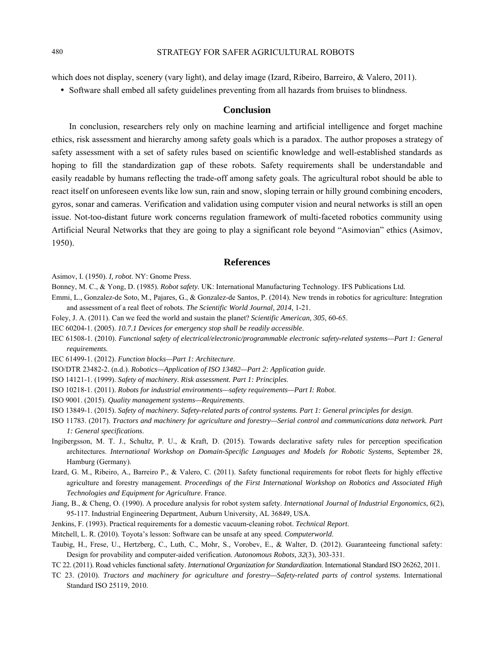which does not display, scenery (vary light), and delay image (Izard, Ribeiro, Barreiro, & Valero, 2011).

• Software shall embed all safety guidelines preventing from all hazards from bruises to blindness.

## **Conclusion**

In conclusion, researchers rely only on machine learning and artificial intelligence and forget machine ethics, risk assessment and hierarchy among safety goals which is a paradox. The author proposes a strategy of safety assessment with a set of safety rules based on scientific knowledge and well-established standards as hoping to fill the standardization gap of these robots. Safety requirements shall be understandable and easily readable by humans reflecting the trade-off among safety goals. The agricultural robot should be able to react itself on unforeseen events like low sun, rain and snow, sloping terrain or hilly ground combining encoders, gyros, sonar and cameras. Verification and validation using computer vision and neural networks is still an open issue. Not-too-distant future work concerns regulation framework of multi-faceted robotics community using Artificial Neural Networks that they are going to play a significant role beyond "Asimovian" ethics (Asimov, 1950).

#### **References**

Asimov, I. (1950). *I, robot*. NY: Gnome Press.

- Bonney, M. C., & Yong, D. (1985). *Robot safety.* UK: International Manufacturing Technology. IFS Publications Ltd.
- Emmi, L., Gonzalez-de Soto, M., Pajares, G., & Gonzalez-de Santos, P. (2014). New trends in robotics for agriculture: Integration and assessment of a real fleet of robots. *The Scientific World Journal, 2014*, 1-21.
- Foley, J. A. (2011). Can we feed the world and sustain the planet? *Scientific American, 305*, 60-65.
- IEC 60204-1. (2005). *10.7.1 Devices for emergency stop shall be readily accessible*.
- IEC 61508-1. (2010). *Functional safety of electrical/electronic/programmable electronic safety-related systems—Part 1: General requirements.*
- IEC 61499-1. (2012). *Function blocks—Part 1: Architecture*.
- ISO/DTR 23482-2. (n.d.). *Robotics—Application of ISO 13482—Part 2: Application guide*.
- ISO 14121-1. (1999). *Safety of machinery. Risk assessment. Part 1: Principles*.
- ISO 10218-1. (2011). *Robots for industrial environments—safety requirements—Part I: Robot*.
- ISO 9001. (2015). *Quality management systems—Requirements*.
- ISO 13849-1. (2015). *Safety of machinery. Safety-related parts of control systems. Part 1: General principles for design*.
- ISO 11783. (2017). *Tractors and machinery for agriculture and forestry—Serial control and communications data network. Part 1: General specifications*.
- Ingibergsson, M. T. J., Schultz, P. U., & Kraft, D. (2015). Towards declarative safety rules for perception specification architectures. *International Workshop on Domain-Specific Languages and Models for Robotic Systems*, September 28, Hamburg (Germany).
- Izard, G. M., Ribeiro, A., Barreiro P., & Valero, C. (2011). Safety functional requirements for robot fleets for highly effective agriculture and forestry management. *Proceedings of the First International Workshop on Robotics and Associated High Technologies and Equipment for Agriculture*. France.
- Jiang, B., & Cheng, O. (1990). A procedure analysis for robot system safety. *International Journal of Industrial Ergonomics, 6*(2), 95-117. Industrial Engineering Department, Auburn University, AL 36849, USA.
- Jenkins, F. (1993). Practical requirements for a domestic vacuum-cleaning robot. *Technical Report*.
- Mitchell, L. R. (2010). Toyota's lesson: Software can be unsafe at any speed. *Computerworld*.
- Taubig, H., Frese, U., Hertzberg, C., Luth, C., Mohr, S., Vorobev, E., & Walter, D. (2012). Guaranteeing functional safety: Design for provability and computer-aided verification. *Autonomous Robots, 32*(3), 303-331.
- TC 22. (2011). Road vehicles functional safety. *International Organization for Standardization*. International Standard ISO 26262, 2011.
- TC 23. (2010). *Tractors and machinery for agriculture and forestry—Safety-related parts of control systems*. International Standard ISO 25119, 2010.